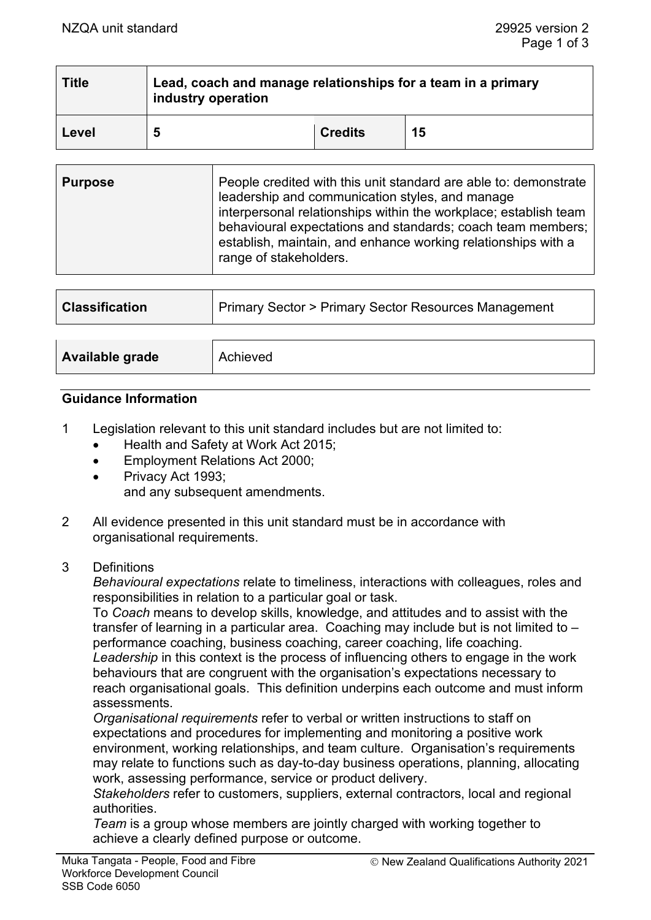| <b>Title</b> | Lead, coach and manage relationships for a team in a primary<br>industry operation |                |    |  |
|--------------|------------------------------------------------------------------------------------|----------------|----|--|
| Level        | 5                                                                                  | <b>Credits</b> | 15 |  |

| People credited with this unit standard are able to: demonstrate<br><b>Purpose</b><br>leadership and communication styles, and manage<br>interpersonal relationships within the workplace; establish team<br>behavioural expectations and standards; coach team members;<br>establish, maintain, and enhance working relationships with a<br>range of stakeholders. |  |
|---------------------------------------------------------------------------------------------------------------------------------------------------------------------------------------------------------------------------------------------------------------------------------------------------------------------------------------------------------------------|--|
|---------------------------------------------------------------------------------------------------------------------------------------------------------------------------------------------------------------------------------------------------------------------------------------------------------------------------------------------------------------------|--|

| <b>Classification</b> | Primary Sector > Primary Sector Resources Management |  |
|-----------------------|------------------------------------------------------|--|
|                       |                                                      |  |
| Available grade       | Achieved                                             |  |

### **Guidance Information**

- 1 Legislation relevant to this unit standard includes but are not limited to:
	- Health and Safety at Work Act 2015;
	- Employment Relations Act 2000;
	- Privacy Act 1993; and any subsequent amendments.
- 2 All evidence presented in this unit standard must be in accordance with organisational requirements.
- 3 Definitions

*Behavioural expectations* relate to timeliness, interactions with colleagues, roles and responsibilities in relation to a particular goal or task.

To *Coach* means to develop skills, knowledge, and attitudes and to assist with the transfer of learning in a particular area. Coaching may include but is not limited to – performance coaching, business coaching, career coaching, life coaching. *Leadership* in this context is the process of influencing others to engage in the work

behaviours that are congruent with the organisation's expectations necessary to reach organisational goals. This definition underpins each outcome and must inform assessments.

*Organisational requirements* refer to verbal or written instructions to staff on expectations and procedures for implementing and monitoring a positive work environment, working relationships, and team culture. Organisation's requirements may relate to functions such as day-to-day business operations, planning, allocating work, assessing performance, service or product delivery.

*Stakeholders* refer to customers, suppliers, external contractors, local and regional authorities.

*Team* is a group whose members are jointly charged with working together to achieve a clearly defined purpose or outcome.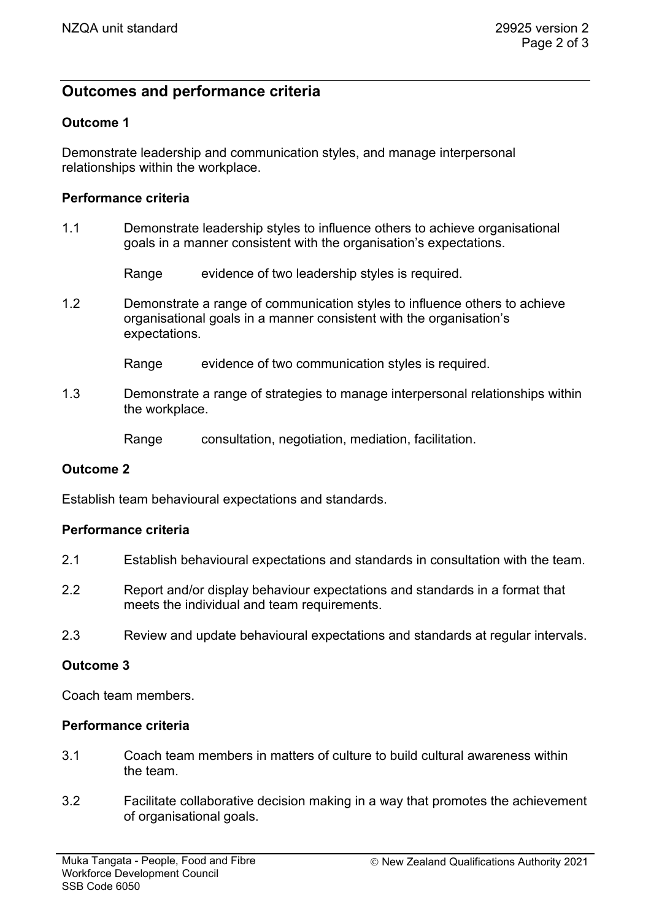# **Outcomes and performance criteria**

### **Outcome 1**

Demonstrate leadership and communication styles, and manage interpersonal relationships within the workplace.

#### **Performance criteria**

1.1 Demonstrate leadership styles to influence others to achieve organisational goals in a manner consistent with the organisation's expectations.

Range evidence of two leadership styles is required.

1.2 Demonstrate a range of communication styles to influence others to achieve organisational goals in a manner consistent with the organisation's expectations.

Range evidence of two communication styles is required.

1.3 Demonstrate a range of strategies to manage interpersonal relationships within the workplace.

Range consultation, negotiation, mediation, facilitation.

### **Outcome 2**

Establish team behavioural expectations and standards.

### **Performance criteria**

- 2.1 Establish behavioural expectations and standards in consultation with the team.
- 2.2 Report and/or display behaviour expectations and standards in a format that meets the individual and team requirements.
- 2.3 Review and update behavioural expectations and standards at regular intervals.

### **Outcome 3**

Coach team members.

#### **Performance criteria**

- 3.1 Coach team members in matters of culture to build cultural awareness within the team.
- 3.2 Facilitate collaborative decision making in a way that promotes the achievement of organisational goals.